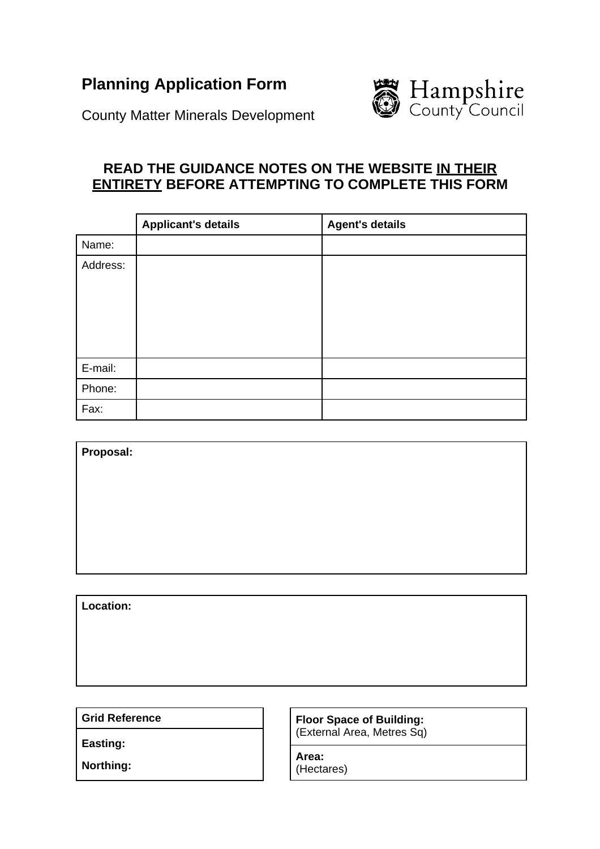# **Planning Application Form**



County Matter Minerals Development

# **READ THE GUIDANCE NOTES ON THE WEBSITE IN THEIR ENTIRETY BEFORE ATTEMPTING TO COMPLETE THIS FORM**

|          | <b>Applicant's details</b> | <b>Agent's details</b> |
|----------|----------------------------|------------------------|
| Name:    |                            |                        |
| Address: |                            |                        |
| E-mail:  |                            |                        |
| Phone:   |                            |                        |
| Fax:     |                            |                        |

| Proposal: |  |  |  |
|-----------|--|--|--|
|           |  |  |  |
|           |  |  |  |
|           |  |  |  |
|           |  |  |  |
|           |  |  |  |
|           |  |  |  |
| Location: |  |  |  |

**Grid Reference** 

**Easting:** 

**Floor Space of Building:** (External Area, Metres Sq)

**Area:** (Hectares)

**Northing:**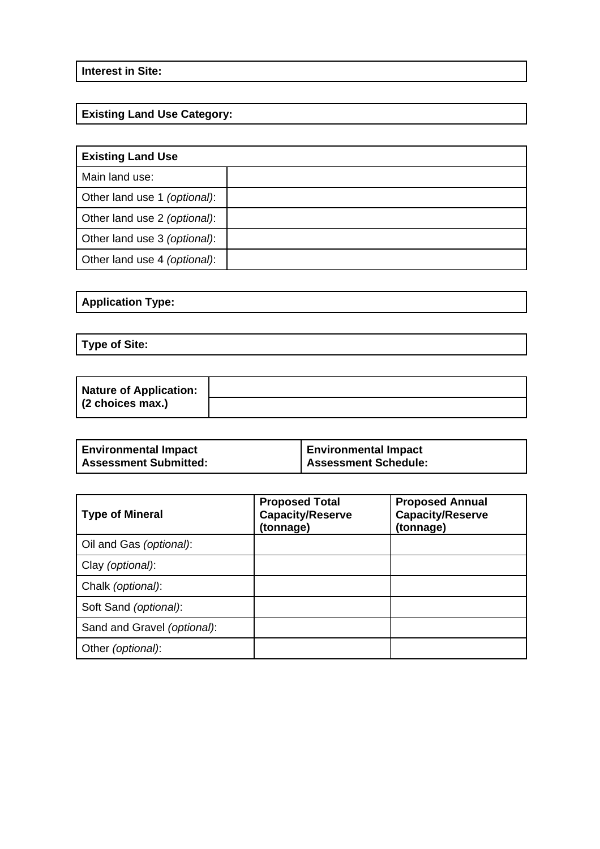### **Interest in Site:**

## **Existing Land Use Category:**

| <b>Existing Land Use</b>     |  |  |
|------------------------------|--|--|
| Main land use:               |  |  |
| Other land use 1 (optional): |  |  |
| Other land use 2 (optional): |  |  |
| Other land use 3 (optional): |  |  |
| Other land use 4 (optional): |  |  |

### **Application Type:**

**Type of Site:** 

| <b>Nature of Application:</b> |  |
|-------------------------------|--|
| $(2$ choices max.)            |  |

| <b>Environmental Impact</b>  | <b>Environmental Impact</b> |
|------------------------------|-----------------------------|
| <b>Assessment Submitted:</b> | <b>Assessment Schedule:</b> |

| <b>Type of Mineral</b>      | <b>Proposed Total</b><br><b>Capacity/Reserve</b><br>(tonnage) | <b>Proposed Annual</b><br><b>Capacity/Reserve</b><br>(tonnage) |  |
|-----------------------------|---------------------------------------------------------------|----------------------------------------------------------------|--|
| Oil and Gas (optional):     |                                                               |                                                                |  |
| Clay (optional):            |                                                               |                                                                |  |
| Chalk (optional):           |                                                               |                                                                |  |
| Soft Sand (optional):       |                                                               |                                                                |  |
| Sand and Gravel (optional): |                                                               |                                                                |  |
| Other (optional):           |                                                               |                                                                |  |